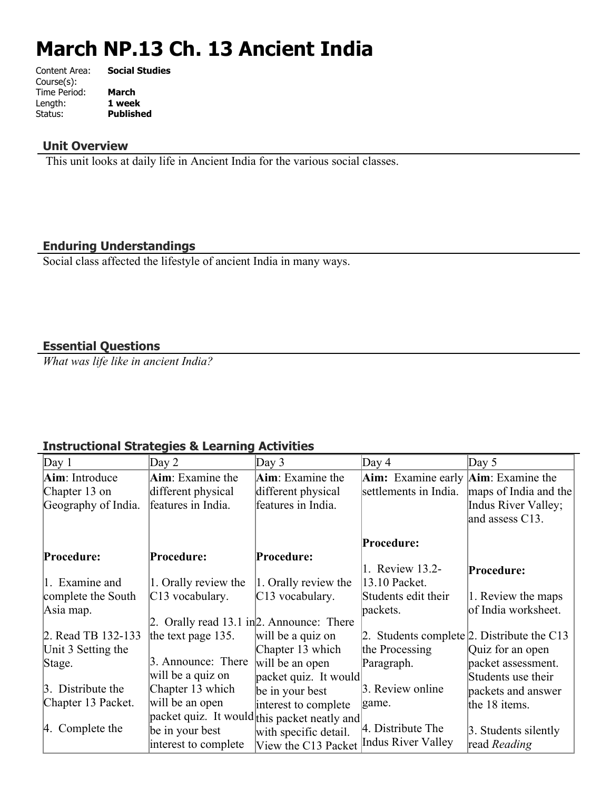# **March NP.13 Ch. 13 Ancient India**

| Content Area: | <b>Social Studies</b> |
|---------------|-----------------------|
| Course(s):    |                       |
| Time Period:  | March                 |
| Length:       | 1 week                |
| Status:       | <b>Published</b>      |
|               |                       |

## **Unit Overview**

This unit looks at daily life in Ancient India for the various social classes.

## **Enduring Understandings**

Social class affected the lifestyle of ancient India in many ways.

## **Essential Questions**

*What was life like in ancient India?*

## **Instructional Strategies & Learning Activities**

| Day 1               | Day 2                                          | Day $3$                                      | Day 4                                              | Day $5$               |
|---------------------|------------------------------------------------|----------------------------------------------|----------------------------------------------------|-----------------------|
| Aim: Introduce      | <b>Aim</b> : Examine the                       | Aim: Examine the                             | <b>Aim:</b> Examine early <b>Aim</b> : Examine the |                       |
| Chapter 13 on       | different physical                             | different physical                           | settlements in India.                              | maps of India and the |
| Geography of India. | features in India.                             | features in India.                           |                                                    | Indus River Valley;   |
|                     |                                                |                                              |                                                    | and assess C13.       |
|                     |                                                |                                              | Procedure:                                         |                       |
| Procedure:          | <b>Procedure:</b>                              | Procedure:                                   |                                                    |                       |
|                     |                                                |                                              | 1. Review 13.2-                                    | Procedure:            |
| 1. Examine and      | 1. Orally review the                           | 1. Orally review the                         | 13.10 Packet.                                      |                       |
| complete the South  | C13 vocabulary.                                | C13 vocabulary.                              | Students edit their                                | 1. Review the maps    |
| Asia map.           |                                                |                                              | packets.                                           | of India worksheet.   |
|                     | 2. Orally read $13.1$ in $2$ . Announce: There |                                              |                                                    |                       |
| 2. Read TB 132-133  | the text page $135$ .                          | will be a quiz on                            | 2. Students complete 2. Distribute the C13         |                       |
| Unit 3 Setting the  |                                                | Chapter 13 which                             | the Processing                                     | Quiz for an open      |
| Stage.              | 3. Announce: There                             | will be an open                              | Paragraph.                                         | packet assessment.    |
|                     | will be a quiz on                              | packet quiz. It would                        |                                                    | Students use their    |
| 3. Distribute the   | Chapter 13 which                               | be in your best                              | 3. Review online                                   | packets and answer    |
| Chapter 13 Packet.  | will be an open                                | interest to complete                         | game.                                              | the 18 items.         |
|                     |                                                | packet quiz. It would this packet neatly and |                                                    |                       |
| $ 4.$ Complete the  | be in your best                                | with specific detail.                        | 4. Distribute The                                  | 3. Students silently  |
|                     | interest to complete                           | View the C13 Packet                          | Indus River Valley                                 | read Reading          |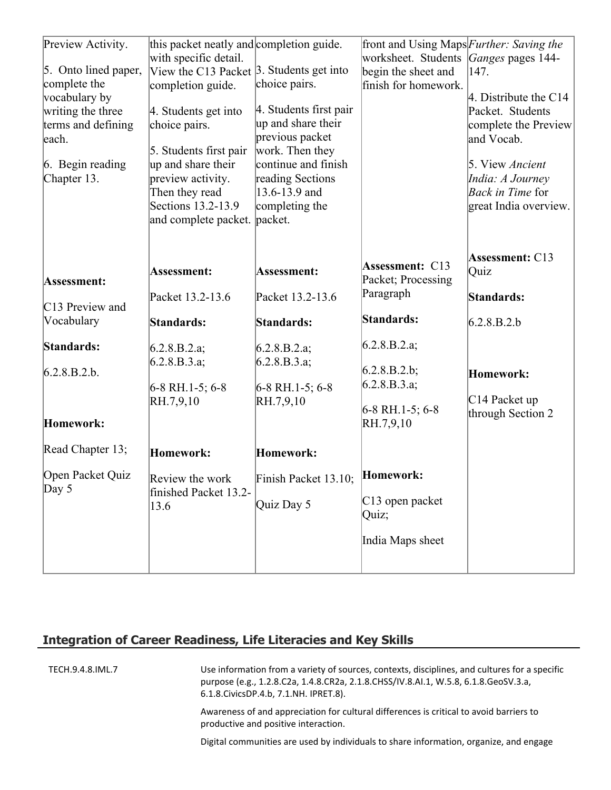| Preview Activity.<br>5. Onto lined paper,<br>complete the<br>vocabulary by<br>writing the three<br>terms and defining<br>each.<br>6. Begin reading<br>Chapter 13. | this packet neatly and completion guide.<br>with specific detail.<br>View the C13 Packet 3. Students get into<br>completion guide.<br>4. Students get into<br>choice pairs.<br>5. Students first pair<br>up and share their<br>preview activity.<br>Then they read<br>Sections 13.2-13.9<br>and complete packet. | choice pairs.<br>4. Students first pair<br>up and share their<br>previous packet<br>work. Then they<br>continue and finish<br>reading Sections<br>13.6-13.9 and<br>completing the<br>packet. | front and Using Maps Further: Saving the<br>worksheet. Students <i>Ganges</i> pages 144-<br>begin the sheet and<br>finish for homework.      | 147.<br>4. Distribute the $C14$<br>Packet. Students<br>complete the Preview<br>and Vocab.<br>5. View Ancient<br>India: A Journey<br>Back in Time for<br>great India overview. |
|-------------------------------------------------------------------------------------------------------------------------------------------------------------------|------------------------------------------------------------------------------------------------------------------------------------------------------------------------------------------------------------------------------------------------------------------------------------------------------------------|----------------------------------------------------------------------------------------------------------------------------------------------------------------------------------------------|----------------------------------------------------------------------------------------------------------------------------------------------|-------------------------------------------------------------------------------------------------------------------------------------------------------------------------------|
| Assessment:<br>C13 Preview and<br>Vocabulary<br>Standards:<br>6.2.8.B.2.b.                                                                                        | Assessment:<br>Packet 13.2-13.6<br>Standards:<br>6.2.8.B.2.a;<br>6.2.8.B.3.a;<br>$6-8$ RH.1-5; 6-8<br>RH.7,9,10                                                                                                                                                                                                  | Assessment:<br>Packet 13.2-13.6<br>Standards:<br>6.2.8.B.2.a;<br>6.2.8.B.3.a;<br>$6-8$ RH.1-5; 6-8<br>RH.7,9,10                                                                              | <b>Assessment: C13</b><br>Packet; Processing<br>Paragraph<br>Standards:<br>6.2.8.B.2.a;<br>6.2.8.B.2.b;<br>6.2.8.B.3.a;<br>$6-8$ RH.1-5; 6-8 | Assessment: C13<br>Quiz<br>Standards:<br>6.2.8.B.2.b<br>Homework:<br>C14 Packet up<br>through Section 2                                                                       |
| Homework:                                                                                                                                                         |                                                                                                                                                                                                                                                                                                                  |                                                                                                                                                                                              | RH.7,9,10                                                                                                                                    |                                                                                                                                                                               |
| Read Chapter 13;                                                                                                                                                  | Homework:                                                                                                                                                                                                                                                                                                        | Homework:                                                                                                                                                                                    |                                                                                                                                              |                                                                                                                                                                               |
| Open Packet Quiz<br>Day $5$                                                                                                                                       | Review the work<br>finished Packet 13.2-<br>13.6                                                                                                                                                                                                                                                                 | Finish Packet 13.10; Homework:<br>Quiz Day 5                                                                                                                                                 | $ C13$ open packet<br>Quiz;<br>India Maps sheet                                                                                              |                                                                                                                                                                               |

## **Integration of Career Readiness, Life Literacies and Key Skills**

TECH.9.4.8.IML.7 Use information from a variety of sources, contexts, disciplines, and cultures for a specific purpose (e.g., 1.2.8.C2a, 1.4.8.CR2a, 2.1.8.CHSS/IV.8.AI.1, W.5.8, 6.1.8.GeoSV.3.a, 6.1.8.CivicsDP.4.b, 7.1.NH. IPRET.8).

> Awareness of and appreciation for cultural differences is critical to avoid barriers to productive and positive interaction.

Digital communities are used by individuals to share information, organize, and engage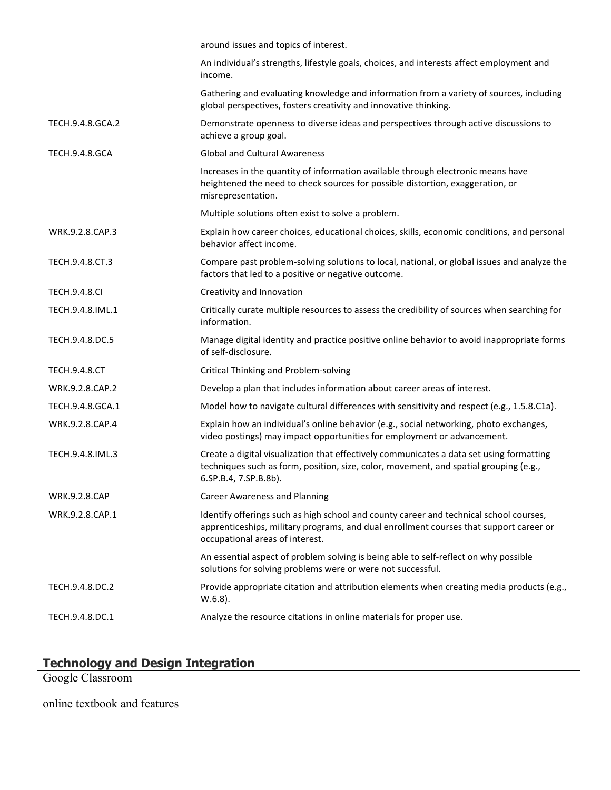|                       | around issues and topics of interest.                                                                                                                                                                               |
|-----------------------|---------------------------------------------------------------------------------------------------------------------------------------------------------------------------------------------------------------------|
|                       | An individual's strengths, lifestyle goals, choices, and interests affect employment and<br>income.                                                                                                                 |
|                       | Gathering and evaluating knowledge and information from a variety of sources, including<br>global perspectives, fosters creativity and innovative thinking.                                                         |
| TECH.9.4.8.GCA.2      | Demonstrate openness to diverse ideas and perspectives through active discussions to<br>achieve a group goal.                                                                                                       |
| <b>TECH.9.4.8.GCA</b> | <b>Global and Cultural Awareness</b>                                                                                                                                                                                |
|                       | Increases in the quantity of information available through electronic means have<br>heightened the need to check sources for possible distortion, exaggeration, or<br>misrepresentation.                            |
|                       | Multiple solutions often exist to solve a problem.                                                                                                                                                                  |
| WRK.9.2.8.CAP.3       | Explain how career choices, educational choices, skills, economic conditions, and personal<br>behavior affect income.                                                                                               |
| TECH.9.4.8.CT.3       | Compare past problem-solving solutions to local, national, or global issues and analyze the<br>factors that led to a positive or negative outcome.                                                                  |
| <b>TECH.9.4.8.CI</b>  | Creativity and Innovation                                                                                                                                                                                           |
| TECH.9.4.8.IML.1      | Critically curate multiple resources to assess the credibility of sources when searching for<br>information.                                                                                                        |
| TECH.9.4.8.DC.5       | Manage digital identity and practice positive online behavior to avoid inappropriate forms<br>of self-disclosure.                                                                                                   |
| <b>TECH.9.4.8.CT</b>  | Critical Thinking and Problem-solving                                                                                                                                                                               |
| WRK.9.2.8.CAP.2       | Develop a plan that includes information about career areas of interest.                                                                                                                                            |
| TECH.9.4.8.GCA.1      | Model how to navigate cultural differences with sensitivity and respect (e.g., 1.5.8.C1a).                                                                                                                          |
| WRK.9.2.8.CAP.4       | Explain how an individual's online behavior (e.g., social networking, photo exchanges,<br>video postings) may impact opportunities for employment or advancement.                                                   |
| TECH.9.4.8.IML.3      | Create a digital visualization that effectively communicates a data set using formatting<br>techniques such as form, position, size, color, movement, and spatial grouping (e.g.,<br>6.SP.B.4, 7.SP.B.8b).          |
| <b>WRK.9.2.8.CAP</b>  | <b>Career Awareness and Planning</b>                                                                                                                                                                                |
| WRK.9.2.8.CAP.1       | Identify offerings such as high school and county career and technical school courses,<br>apprenticeships, military programs, and dual enrollment courses that support career or<br>occupational areas of interest. |
|                       | An essential aspect of problem solving is being able to self-reflect on why possible<br>solutions for solving problems were or were not successful.                                                                 |
| TECH.9.4.8.DC.2       | Provide appropriate citation and attribution elements when creating media products (e.g.,<br>$W.6.8$ ).                                                                                                             |
| TECH.9.4.8.DC.1       | Analyze the resource citations in online materials for proper use.                                                                                                                                                  |

#### **Technology and Design Integration**

Google Classroom

online textbook and features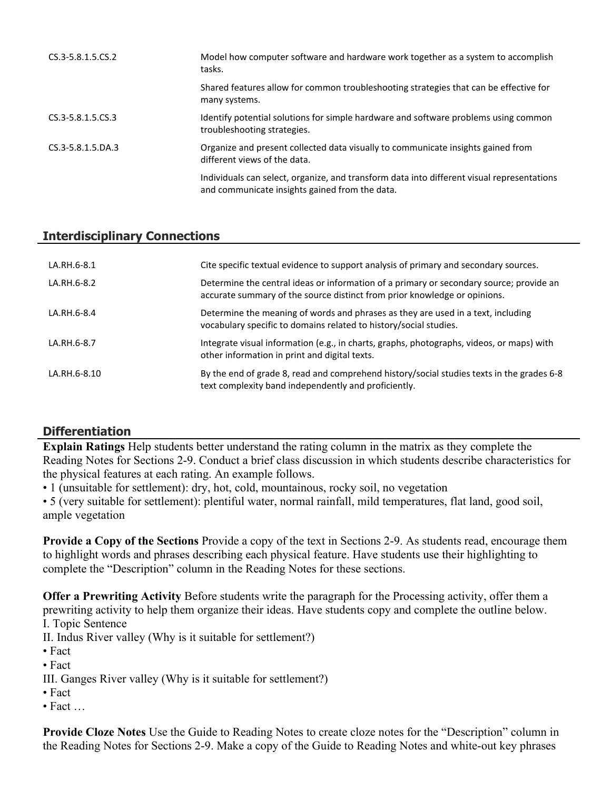| CS.3-5.8.1.5.CS.2 | Model how computer software and hardware work together as a system to accomplish<br>tasks.                                                   |
|-------------------|----------------------------------------------------------------------------------------------------------------------------------------------|
|                   | Shared features allow for common troubleshooting strategies that can be effective for<br>many systems.                                       |
| CS.3-5.8.1.5.CS.3 | Identify potential solutions for simple hardware and software problems using common<br>troubleshooting strategies.                           |
| CS.3-5.8.1.5.DA.3 | Organize and present collected data visually to communicate insights gained from<br>different views of the data.                             |
|                   | Individuals can select, organize, and transform data into different visual representations<br>and communicate insights gained from the data. |

## **Interdisciplinary Connections**

| LA.RH.6-8.1  | Cite specific textual evidence to support analysis of primary and secondary sources.                                                                                 |
|--------------|----------------------------------------------------------------------------------------------------------------------------------------------------------------------|
| LA.RH.6-8.2  | Determine the central ideas or information of a primary or secondary source; provide an<br>accurate summary of the source distinct from prior knowledge or opinions. |
| LA.RH.6-8.4  | Determine the meaning of words and phrases as they are used in a text, including<br>vocabulary specific to domains related to history/social studies.                |
| LA.RH.6-8.7  | Integrate visual information (e.g., in charts, graphs, photographs, videos, or maps) with<br>other information in print and digital texts.                           |
| LA.RH.6-8.10 | By the end of grade 8, read and comprehend history/social studies texts in the grades 6-8<br>text complexity band independently and proficiently.                    |

# **Differentiation**

**Explain Ratings** Help students better understand the rating column in the matrix as they complete the Reading Notes for Sections 2-9. Conduct a brief class discussion in which students describe characteristics for the physical features at each rating. An example follows.

• 1 (unsuitable for settlement): dry, hot, cold, mountainous, rocky soil, no vegetation

• 5 (very suitable for settlement): plentiful water, normal rainfall, mild temperatures, flat land, good soil, ample vegetation

**Provide a Copy of the Sections** Provide a copy of the text in Sections 2-9. As students read, encourage them to highlight words and phrases describing each physical feature. Have students use their highlighting to complete the "Description" column in the Reading Notes for these sections.

**Offer a Prewriting Activity** Before students write the paragraph for the Processing activity, offer them a prewriting activity to help them organize their ideas. Have students copy and complete the outline below. I. Topic Sentence

II. Indus River valley (Why is it suitable for settlement?)

- Fact
- Fact

III. Ganges River valley (Why is it suitable for settlement?)

- Fact
- Fact

**Provide Cloze Notes** Use the Guide to Reading Notes to create cloze notes for the "Description" column in the Reading Notes for Sections 2-9. Make a copy of the Guide to Reading Notes and white-out key phrases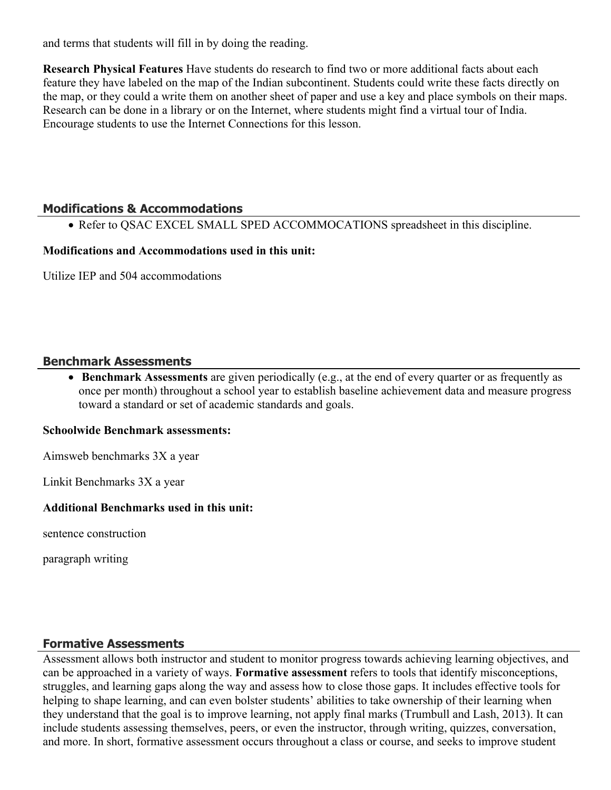and terms that students will fill in by doing the reading.

**Research Physical Features** Have students do research to find two or more additional facts about each feature they have labeled on the map of the Indian subcontinent. Students could write these facts directly on the map, or they could a write them on another sheet of paper and use a key and place symbols on their maps. Research can be done in a library or on the Internet, where students might find a virtual tour of India. Encourage students to use the Internet Connections for this lesson.

## **Modifications & Accommodations**

• Refer to QSAC EXCEL SMALL SPED ACCOMMOCATIONS spreadsheet in this discipline.

#### **Modifications and Accommodations used in this unit:**

Utilize IEP and 504 accommodations

#### **Benchmark Assessments**

 **Benchmark Assessments** are given periodically (e.g., at the end of every quarter or as frequently as once per month) throughout a school year to establish baseline achievement data and measure progress toward a standard or set of academic standards and goals.

#### **Schoolwide Benchmark assessments:**

Aimsweb benchmarks 3X a year

Linkit Benchmarks 3X a year

#### **Additional Benchmarks used in this unit:**

sentence construction

paragraph writing

## **Formative Assessments**

Assessment allows both instructor and student to monitor progress towards achieving learning objectives, and can be approached in a variety of ways. **Formative assessment** refers to tools that identify misconceptions, struggles, and learning gaps along the way and assess how to close those gaps. It includes effective tools for helping to shape learning, and can even bolster students' abilities to take ownership of their learning when they understand that the goal is to improve learning, not apply final marks (Trumbull and Lash, 2013). It can include students assessing themselves, peers, or even the instructor, through writing, quizzes, conversation, and more. In short, formative assessment occurs throughout a class or course, and seeks to improve student